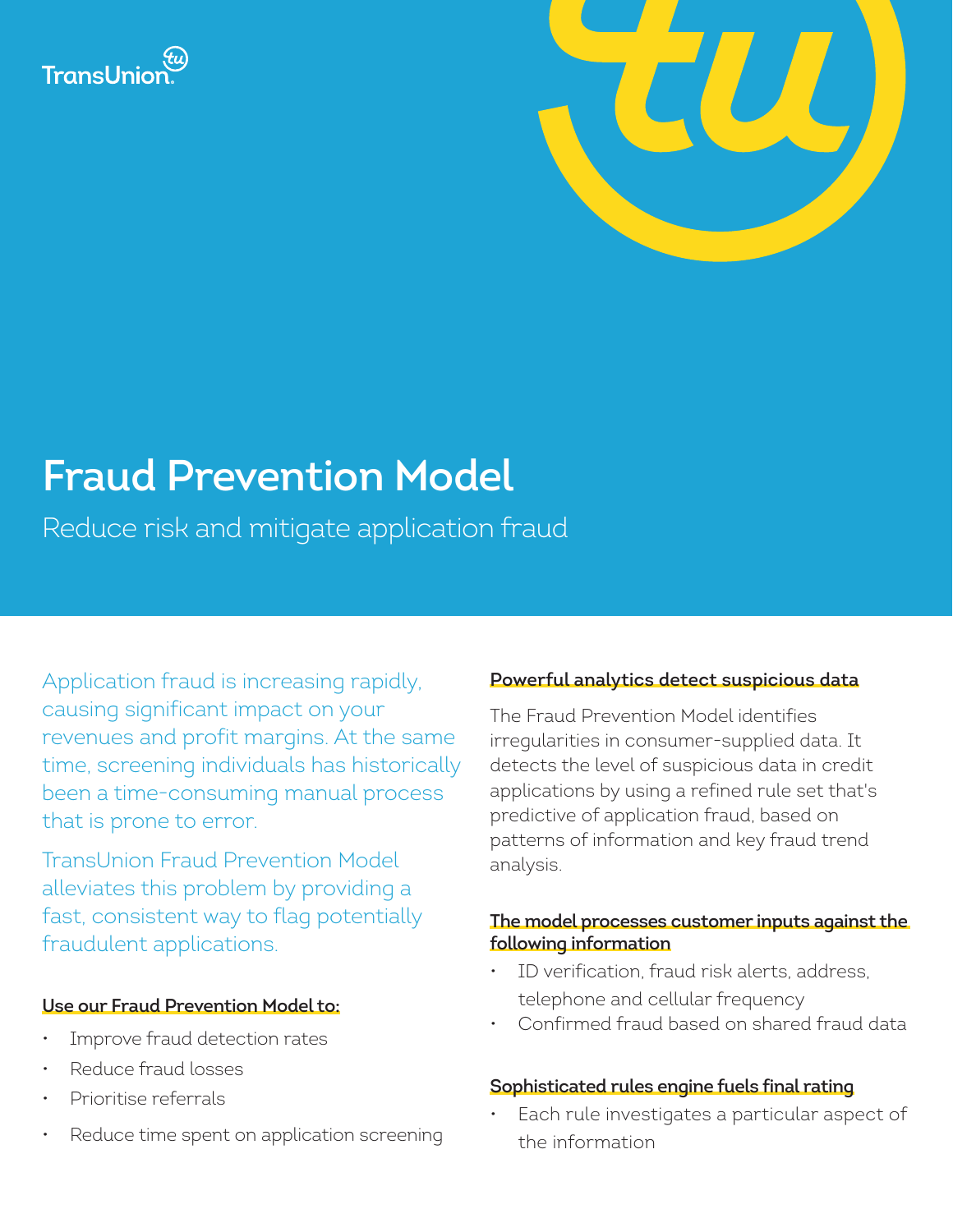



# **Fraud Prevention Model**

Reduce risk and mitigate application fraud

Application fraud is increasing rapidly, causing significant impact on your revenues and profit margins. At the same time, screening individuals has historically been a time-consuming manual process that is prone to error.

TransUnion Fraud Prevention Model alleviates this problem by providing a fast, consistent way to flag potentially fraudulent applications.

# **Use our Fraud Prevention Model to:**

- Improve fraud detection rates
- Reduce fraud losses
- Prioritise referrals
- Reduce time spent on application screening

# **Powerful analytics detect suspicious data**

The Fraud Prevention Model identifies irregularities in consumer-supplied data. It detects the level of suspicious data in credit applications by using a refined rule set that's predictive of application fraud, based on patterns of information and key fraud trend analysis.

### **The model processes customer inputs against the following information**

- ID verification, fraud risk alerts, address, telephone and cellular frequency
- Confirmed fraud based on shared fraud data

#### **Sophisticated rules engine fuels final rating**

Each rule investigates a particular aspect of the information